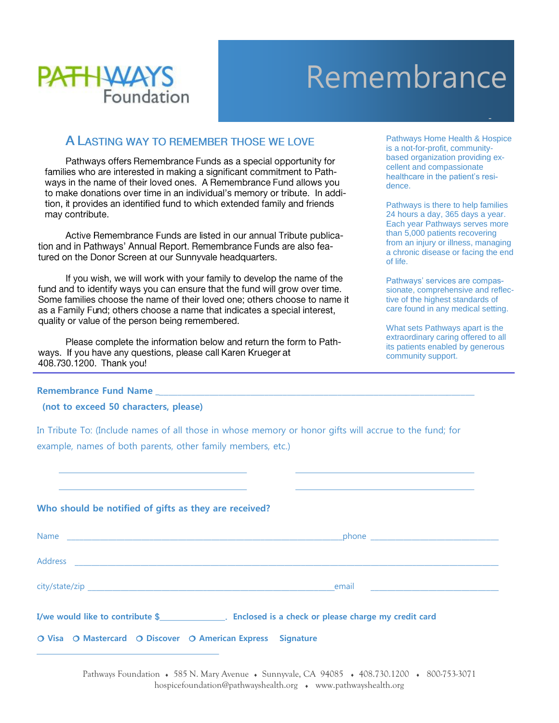

## Remembrance

## A LASTING WAY TO REMEMBER THOSE WE LOVE

Pathways offers Remembrance Funds as a special opportunity for families who are interested in making a significant commitment to Pathways in the name of their loved ones. A Remembrance Fund allows you to make donations over time in an individual's memory or tribute. In addition, it provides an identified fund to which extended family and friends may contribute.

Active Remembrance Funds are listed in our annual Tribute publication and in Pathways' Annual Report. Remembrance Funds are also featured on the Donor Screen at our Sunnyvale headquarters.

If you wish, we will work with your family to develop the name of the fund and to identify ways you can ensure that the fund will grow over time. Some families choose the name of their loved one; others choose to name it as a Family Fund; others choose a name that indicates a special interest, quality or value of the person being remembered.

Please complete the information below and return the form to Pathways. If you have any questions, please call Karen Krueger at 408.730.1200. Thank you!

Pathways Home Health & Hospice is a not-for-profit, communitybased organization providing excellent and compassionate healthcare in the patient's residence.

Pathways is there to help families 24 hours a day, 365 days a year. Each year Pathways serves more than 5,000 patients recovering from an injury or illness, managing a chronic disease or facing the end of life.

Pathways' services are compassionate, comprehensive and reflective of the highest standards of care found in any medical setting.

What sets Pathways apart is the extraordinary caring offered to all its patients enabled by generous community support.

## **Remembrance Fund Name** \_

 **(not to exceed 50 characters, please)**

In Tribute To: (Include names of all those in whose memory or honor gifts will accrue to the fund; for example, names of both parents, other family members, etc.)

## **Who should be notified of gifts as they are received?**

|                                                             | I/we would like to contribute \$__________________. Enclosed is a check or please charge my credit card |
|-------------------------------------------------------------|---------------------------------------------------------------------------------------------------------|
| O Visa O Mastercard O Discover O American Express Signature |                                                                                                         |